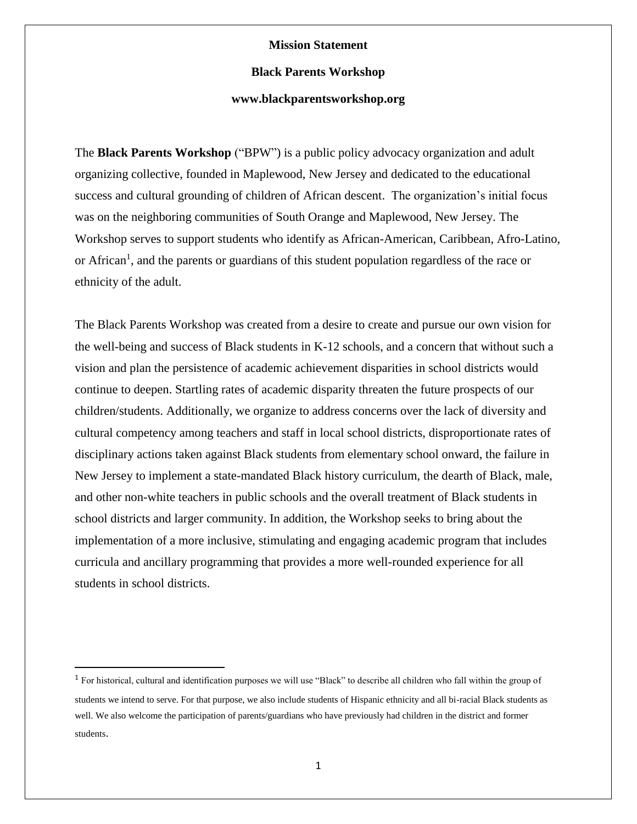### **Mission Statement**

#### **Black Parents Workshop**

## **www.blackparentsworkshop.org**

The **Black Parents Workshop** ("BPW") is a public policy advocacy organization and adult organizing collective, founded in Maplewood, New Jersey and dedicated to the educational success and cultural grounding of children of African descent. The organization's initial focus was on the neighboring communities of South Orange and Maplewood, New Jersey. The Workshop serves to support students who identify as African-American, Caribbean, Afro-Latino, or African<sup>1</sup>, and the parents or guardians of this student population regardless of the race or ethnicity of the adult.

The Black Parents Workshop was created from a desire to create and pursue our own vision for the well-being and success of Black students in K-12 schools, and a concern that without such a vision and plan the persistence of academic achievement disparities in school districts would continue to deepen. Startling rates of academic disparity threaten the future prospects of our children/students. Additionally, we organize to address concerns over the lack of diversity and cultural competency among teachers and staff in local school districts, disproportionate rates of disciplinary actions taken against Black students from elementary school onward, the failure in New Jersey to implement a state-mandated Black history curriculum, the dearth of Black, male, and other non-white teachers in public schools and the overall treatment of Black students in school districts and larger community. In addition, the Workshop seeks to bring about the implementation of a more inclusive, stimulating and engaging academic program that includes curricula and ancillary programming that provides a more well-rounded experience for all students in school districts.

l

<sup>&</sup>lt;sup>1</sup> For historical, cultural and identification purposes we will use "Black" to describe all children who fall within the group of students we intend to serve. For that purpose, we also include students of Hispanic ethnicity and all bi-racial Black students as well. We also welcome the participation of parents/guardians who have previously had children in the district and former students.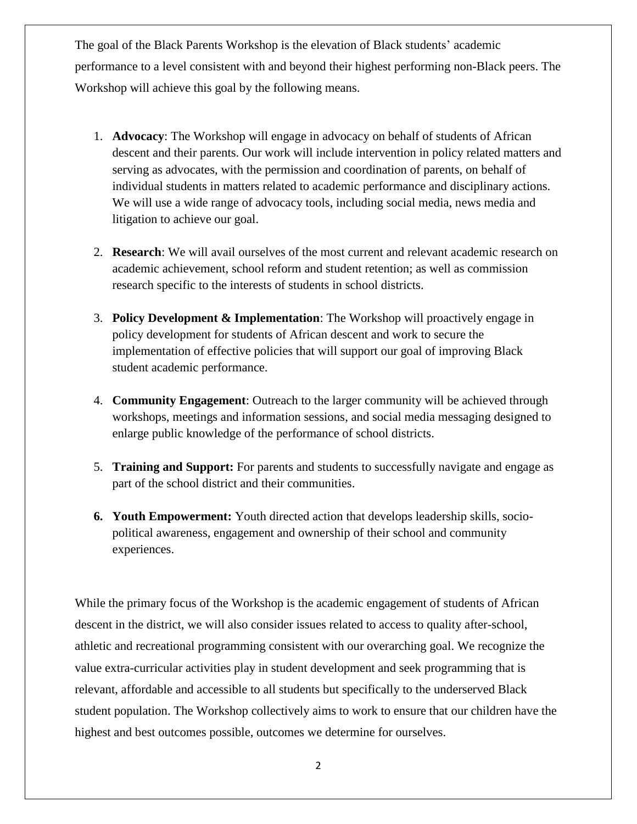The goal of the Black Parents Workshop is the elevation of Black students' academic performance to a level consistent with and beyond their highest performing non-Black peers. The Workshop will achieve this goal by the following means.

- 1. **Advocacy**: The Workshop will engage in advocacy on behalf of students of African descent and their parents. Our work will include intervention in policy related matters and serving as advocates, with the permission and coordination of parents, on behalf of individual students in matters related to academic performance and disciplinary actions. We will use a wide range of advocacy tools, including social media, news media and litigation to achieve our goal.
- 2. **Research**: We will avail ourselves of the most current and relevant academic research on academic achievement, school reform and student retention; as well as commission research specific to the interests of students in school districts.
- 3. **Policy Development & Implementation**: The Workshop will proactively engage in policy development for students of African descent and work to secure the implementation of effective policies that will support our goal of improving Black student academic performance.
- 4. **Community Engagement**: Outreach to the larger community will be achieved through workshops, meetings and information sessions, and social media messaging designed to enlarge public knowledge of the performance of school districts.
- 5. **Training and Support:** For parents and students to successfully navigate and engage as part of the school district and their communities.
- **6. Youth Empowerment:** Youth directed action that develops leadership skills, sociopolitical awareness, engagement and ownership of their school and community experiences.

While the primary focus of the Workshop is the academic engagement of students of African descent in the district, we will also consider issues related to access to quality after-school, athletic and recreational programming consistent with our overarching goal. We recognize the value extra-curricular activities play in student development and seek programming that is relevant, affordable and accessible to all students but specifically to the underserved Black student population. The Workshop collectively aims to work to ensure that our children have the highest and best outcomes possible, outcomes we determine for ourselves.